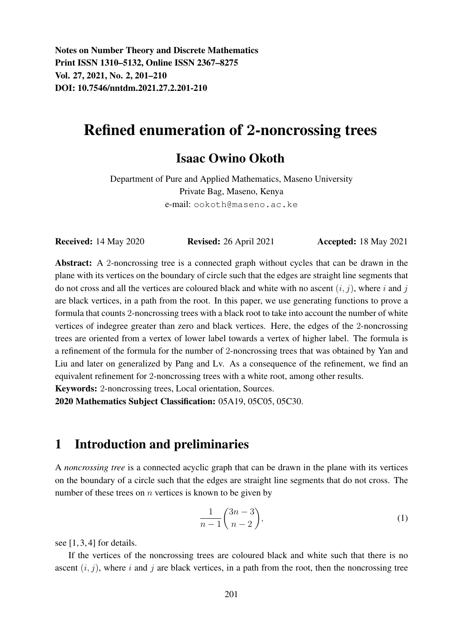Notes on Number Theory and Discrete Mathematics Print ISSN 1310–5132, Online ISSN 2367–8275 Vol. 27, 2021, No. 2, 201–210 DOI: 10.7546/nntdm.2021.27.2.201-210

# Refined enumeration of 2-noncrossing trees

#### Isaac Owino Okoth

Department of Pure and Applied Mathematics, Maseno University Private Bag, Maseno, Kenya e-mail: ookoth@maseno.ac.ke

Received: 14 May 2020 Revised: 26 April 2021 Accepted: 18 May 2021

Abstract: A 2-noncrossing tree is a connected graph without cycles that can be drawn in the plane with its vertices on the boundary of circle such that the edges are straight line segments that do not cross and all the vertices are coloured black and white with no ascent  $(i, j)$ , where i and j are black vertices, in a path from the root. In this paper, we use generating functions to prove a formula that counts 2-noncrossing trees with a black root to take into account the number of white vertices of indegree greater than zero and black vertices. Here, the edges of the 2-noncrossing trees are oriented from a vertex of lower label towards a vertex of higher label. The formula is a refinement of the formula for the number of 2-noncrossing trees that was obtained by Yan and Liu and later on generalized by Pang and Lv. As a consequence of the refinement, we find an equivalent refinement for 2-noncrossing trees with a white root, among other results.

Keywords: 2-noncrossing trees, Local orientation, Sources.

2020 Mathematics Subject Classification: 05A19, 05C05, 05C30.

#### 1 Introduction and preliminaries

A *noncrossing tree* is a connected acyclic graph that can be drawn in the plane with its vertices on the boundary of a circle such that the edges are straight line segments that do not cross. The number of these trees on  $n$  vertices is known to be given by

$$
\frac{1}{n-1} \binom{3n-3}{n-2},\tag{1}
$$

see [1, 3, 4] for details.

If the vertices of the noncrossing trees are coloured black and white such that there is no ascent  $(i, j)$ , where i and j are black vertices, in a path from the root, then the noncrossing tree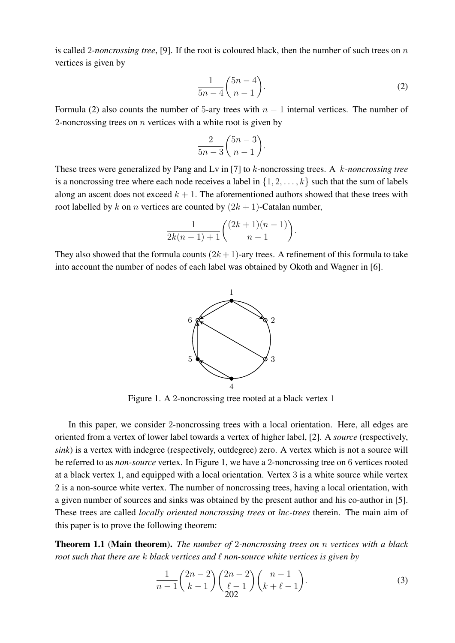is called 2*-noncrossing tree*, [9]. If the root is coloured black, then the number of such trees on n vertices is given by

$$
\frac{1}{5n-4} \binom{5n-4}{n-1}.\tag{2}
$$

Formula (2) also counts the number of 5-ary trees with  $n - 1$  internal vertices. The number of 2-noncrossing trees on  $n$  vertices with a white root is given by

$$
\frac{2}{5n-3} \binom{5n-3}{n-1}.
$$

These trees were generalized by Pang and Lv in [7] to k-noncrossing trees. A k*-noncrossing tree* is a noncrossing tree where each node receives a label in  $\{1, 2, \ldots, k\}$  such that the sum of labels along an ascent does not exceed  $k + 1$ . The aforementioned authors showed that these trees with root labelled by k on n vertices are counted by  $(2k + 1)$ -Catalan number,

$$
\frac{1}{2k(n-1)+1}\binom{(2k+1)(n-1)}{n-1}.
$$

They also showed that the formula counts  $(2k+1)$ -ary trees. A refinement of this formula to take into account the number of nodes of each label was obtained by Okoth and Wagner in [6].



Figure 1. A 2-noncrossing tree rooted at a black vertex 1

In this paper, we consider 2-noncrossing trees with a local orientation. Here, all edges are oriented from a vertex of lower label towards a vertex of higher label, [2]. A *source* (respectively, *sink*) is a vertex with indegree (respectively, outdegree) zero. A vertex which is not a source will be referred to as *non-source* vertex. In Figure 1, we have a 2-noncrossing tree on 6 vertices rooted at a black vertex 1, and equipped with a local orientation. Vertex 3 is a white source while vertex 2 is a non-source white vertex. The number of noncrossing trees, having a local orientation, with a given number of sources and sinks was obtained by the present author and his co-author in [5]. These trees are called *locally oriented noncrossing trees* or *lnc-trees* therein. The main aim of this paper is to prove the following theorem:

Theorem 1.1 (Main theorem). *The number of* 2*-noncrossing trees on* n *vertices with a black root such that there are k black vertices and*  $\ell$  *non-source white vertices is given by* 

$$
\frac{1}{n-1} \binom{2n-2}{k-1} \binom{2n-2}{\ell-1} \binom{n-1}{k+\ell-1}.
$$
\n(3)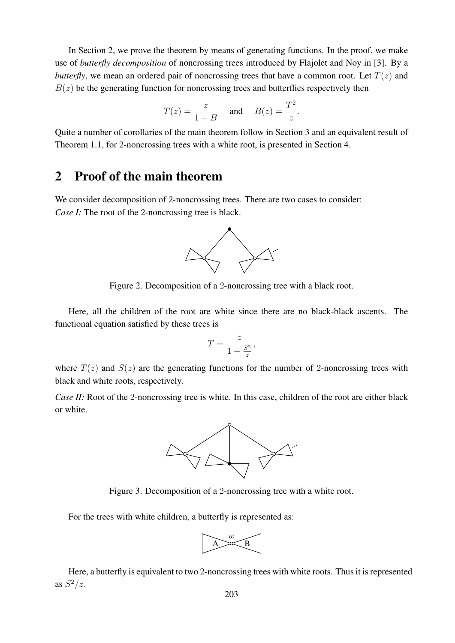In Section 2, we prove the theorem by means of generating functions. In the proof, we make use of *butterfly decomposition* of noncrossing trees introduced by Flajolet and Noy in [3]. By a *butterfly*, we mean an ordered pair of noncrossing trees that have a common root. Let  $T(z)$  and  $B(z)$  be the generating function for noncrossing trees and butterflies respectively then

$$
T(z) = \frac{z}{1 - B} \quad \text{and} \quad B(z) = \frac{T^2}{z}.
$$

Quite a number of corollaries of the main theorem follow in Section 3 and an equivalent result of Theorem 1.1, for 2-noncrossing trees with a white root, is presented in Section 4.

#### 2 Proof of the main theorem

We consider decomposition of 2-noncrossing trees. There are two cases to consider: *Case I:* The root of the 2-noncrossing tree is black.



Figure 2. Decomposition of a 2-noncrossing tree with a black root.

Here, all the children of the root are white since there are no black-black ascents. The functional equation satisfied by these trees is

$$
T = \frac{z}{1 - \frac{S^2}{z}},
$$

where  $T(z)$  and  $S(z)$  are the generating functions for the number of 2-noncrossing trees with black and white roots, respectively.

*Case II:* Root of the 2-noncrossing tree is white. In this case, children of the root are either black or white.



Figure 3. Decomposition of a 2-noncrossing tree with a white root.

For the trees with white children, a butterfly is represented as:



Here, a butterfly is equivalent to two 2-noncrossing trees with white roots. Thus it is represented as  $S^2/z$ .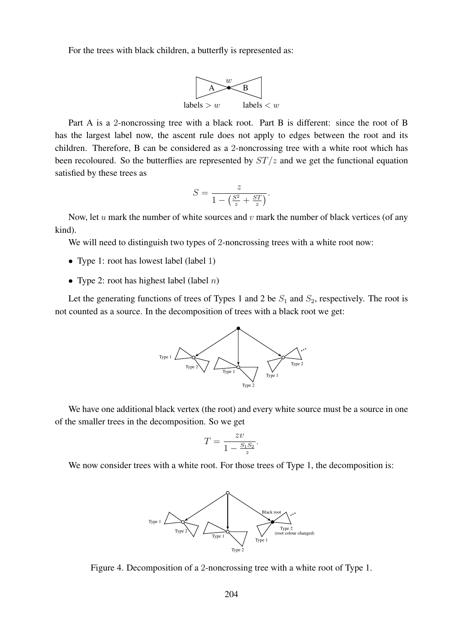For the trees with black children, a butterfly is represented as:



Part A is a 2-noncrossing tree with a black root. Part B is different: since the root of B has the largest label now, the ascent rule does not apply to edges between the root and its children. Therefore, B can be considered as a 2-noncrossing tree with a white root which has been recoloured. So the butterflies are represented by  $ST/z$  and we get the functional equation satisfied by these trees as

$$
S = \frac{z}{1 - \left(\frac{S^2}{z} + \frac{ST}{z}\right)}.
$$

Now, let  $u$  mark the number of white sources and  $v$  mark the number of black vertices (of any kind).

We will need to distinguish two types of 2-noncrossing trees with a white root now:

- Type 1: root has lowest label (label 1)
- Type 2: root has highest label (label  $n$ )

Let the generating functions of trees of Types 1 and 2 be  $S_1$  and  $S_2$ , respectively. The root is not counted as a source. In the decomposition of trees with a black root we get:



We have one additional black vertex (the root) and every white source must be a source in one of the smaller trees in the decomposition. So we get

$$
T = \frac{zv}{1 - \frac{S_1 S_2}{z}}.
$$

We now consider trees with a white root. For those trees of Type 1, the decomposition is:



Figure 4. Decomposition of a 2-noncrossing tree with a white root of Type 1.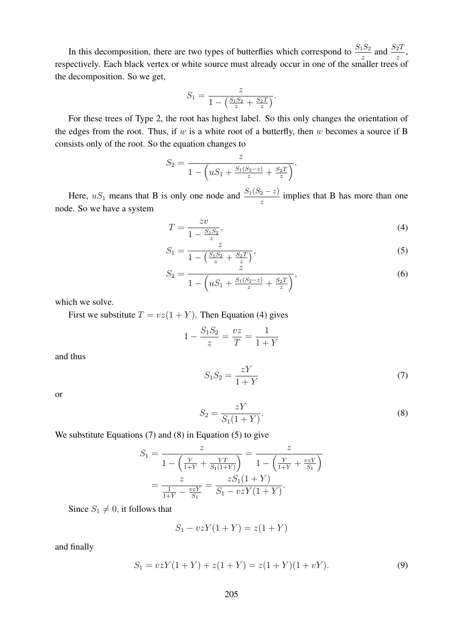In this decomposition, there are two types of butterflies which correspond to  $\frac{S_1 S_2}{z}$  and  $\frac{S_2 T}{z}$ , respectively. Each black vertex or white source must already occur in one of the smaller trees of the decomposition. So we get,

$$
S_1 = \frac{z}{1 - \left(\frac{S_1 S_2}{z} + \frac{S_2 T}{z}\right)}.
$$

For these trees of Type 2, the root has highest label. So this only changes the orientation of the edges from the root. Thus, if  $w$  is a white root of a butterfly, then  $w$  becomes a source if B consists only of the root. So the equation changes to

$$
S_2 = \frac{z}{1 - \left( uS_1 + \frac{S_1(S_2 - z)}{z} + \frac{S_2T}{z} \right)}.
$$

Here,  $uS_1$  means that B is only one node and  $\frac{S_1(S_2 - z)}{z}$  implies that B has more than one node. So we have a system

$$
T = \frac{zv}{1 - \frac{S_1 S_2}{z}},\tag{4}
$$

$$
S_1 = \frac{z}{1 - \left(\frac{S_1 S_2}{z} + \frac{S_2 T}{z}\right)},\tag{5}
$$

$$
S_2 = \frac{z}{1 - \left( uS_1 + \frac{S_1(S_2 - z)}{z} + \frac{S_2 T}{z} \right)},\tag{6}
$$

which we solve.

First we substitute  $T = vz(1 + Y)$ . Then Equation (4) gives

$$
1 - \frac{S_1 S_2}{z} = \frac{vz}{T} = \frac{1}{1+Y}
$$

and thus

$$
S_1 S_2 = \frac{zY}{1+Y} \tag{7}
$$

or

$$
S_2 = \frac{zY}{S_1(1+Y)}.\tag{8}
$$

We substitute Equations 
$$
(7)
$$
 and  $(8)$  in Equation  $(5)$  to give

$$
S_1 = \frac{z}{1 - \left(\frac{Y}{1+Y} + \frac{YT}{S_1(1+Y)}\right)} = \frac{z}{1 - \left(\frac{Y}{1+Y} + \frac{vzY}{S_1}\right)}
$$
  
= 
$$
\frac{z}{\frac{1}{1+Y} - \frac{vzY}{S_1}} = \frac{zS_1(1+Y)}{S_1 - vzY(1+Y)}.
$$

Since  $S_1 \neq 0$ , it follows that

$$
S_1 - vzY(1+Y) = z(1+Y)
$$

and finally

$$
S_1 = vzY(1+Y) + z(1+Y) = z(1+Y)(1+vY).
$$
\n(9)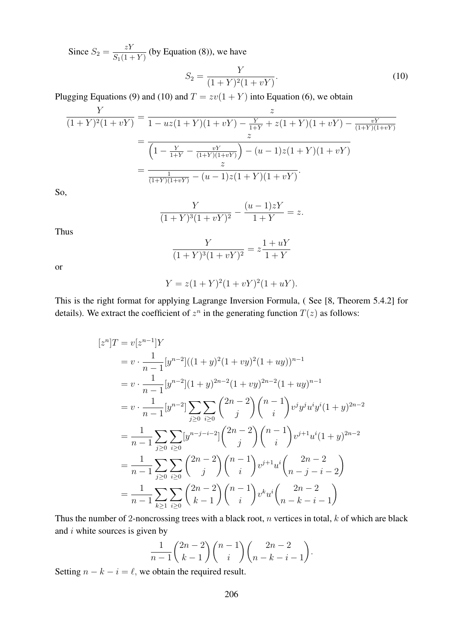Since  $S_2 = \frac{zY}{S(1)}$  $\frac{z_1}{S_1(1+Y)}$  (by Equation (8)), we have

$$
S_2 = \frac{Y}{(1+Y)^2(1+vY)}.\tag{10}
$$

Plugging Equations (9) and (10) and  $T = zv(1 + Y)$  into Equation (6), we obtain

$$
\frac{Y}{(1+Y)^2(1+vY)} = \frac{z}{1-uz(1+Y)(1+vY) - \frac{Y}{1+Y} + z(1+Y)(1+vY) - \frac{vY}{(1+Y)(1+vY)}}
$$

$$
= \frac{z}{\left(1 - \frac{Y}{1+Y} - \frac{vY}{(1+Y)(1+vY)}\right) - (u-1)z(1+Y)(1+vY)}
$$

$$
= \frac{z}{\frac{1}{(1+Y)(1+vY)} - (u-1)z(1+Y)(1+vY)}.
$$

So,

$$
\frac{Y}{(1+Y)^3(1+vY)^2} - \frac{(u-1)zY}{1+Y} = z.
$$

Thus

$$
\frac{Y}{(1+Y)^3(1+vY)^2} = z\frac{1+uY}{1+Y}
$$

or

$$
Y = z(1+Y)^2(1+vY)^2(1+uY).
$$

This is the right format for applying Lagrange Inversion Formula, ( See [8, Theorem 5.4.2] for details). We extract the coefficient of  $z^n$  in the generating function  $T(z)$  as follows:

$$
[z^{n}]T = v[z^{n-1}]Y
$$
  
\n
$$
= v \cdot \frac{1}{n-1} [y^{n-2}]((1+y)^2(1+vy)^2(1+uy))^{n-1}
$$
  
\n
$$
= v \cdot \frac{1}{n-1} [y^{n-2}] (1+y)^{2n-2} (1+vy)^{2n-2} (1+uy)^{n-1}
$$
  
\n
$$
= v \cdot \frac{1}{n-1} [y^{n-2}] \sum_{j\geq 0} \sum_{i\geq 0} {2n-2 \choose j} {n-1 \choose i} v^j y^j u^i y^i (1+y)^{2n-2}
$$
  
\n
$$
= \frac{1}{n-1} \sum_{j\geq 0} \sum_{i\geq 0} [y^{n-j-i-2}] {2n-2 \choose j} {n-1 \choose i} v^{j+1} u^i (1+y)^{2n-2}
$$
  
\n
$$
= \frac{1}{n-1} \sum_{j\geq 0} \sum_{i\geq 0} {2n-2 \choose j} {n-1 \choose i} v^{j+1} u^i \binom{2n-2}{n-j-i-2}
$$
  
\n
$$
= \frac{1}{n-1} \sum_{k\geq 1} \sum_{i\geq 0} {2n-2 \choose k-1} {n-1 \choose i} v^k u^i \binom{2n-2}{n-k-i-1}
$$

Thus the number of 2-noncrossing trees with a black root,  $n$  vertices in total,  $k$  of which are black and  $i$  white sources is given by

$$
\frac{1}{n-1}\binom{2n-2}{k-1}\binom{n-1}{i}\binom{2n-2}{n-k-i-1}.
$$

Setting  $n - k - i = \ell$ , we obtain the required result.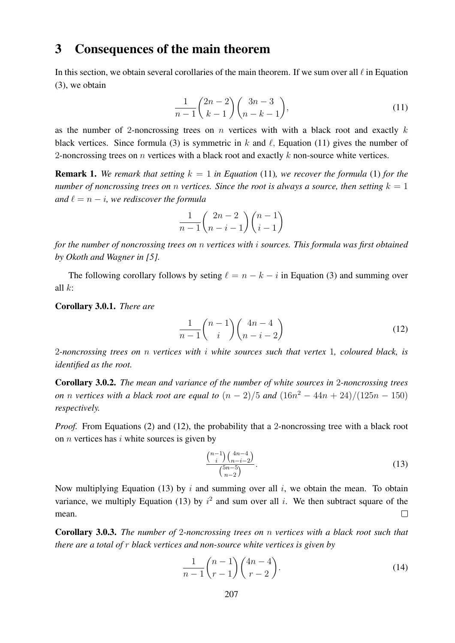#### 3 Consequences of the main theorem

In this section, we obtain several corollaries of the main theorem. If we sum over all  $\ell$  in Equation (3), we obtain

$$
\frac{1}{n-1} \binom{2n-2}{k-1} \binom{3n-3}{n-k-1},\tag{11}
$$

as the number of 2-noncrossing trees on n vertices with with a black root and exactly  $k$ black vertices. Since formula (3) is symmetric in k and  $\ell$ , Equation (11) gives the number of 2-noncrossing trees on  $n$  vertices with a black root and exactly  $k$  non-source white vertices.

**Remark 1.** We remark that setting  $k = 1$  in Equation (11), we recover the formula (1) for the *number of noncrossing trees on n vertices. Since the root is always a source, then setting*  $k = 1$ *and*  $\ell = n - i$ *, we rediscover the formula* 

$$
\frac{1}{n-1}\binom{2n-2}{n-i-1}\binom{n-1}{i-1}
$$

*for the number of noncrossing trees on* n *vertices with* i *sources. This formula was first obtained by Okoth and Wagner in [5].*

The following corollary follows by seting  $\ell = n - k - i$  in Equation (3) and summing over all  $k$ :

Corollary 3.0.1. *There are*

$$
\frac{1}{n-1} \binom{n-1}{i} \binom{4n-4}{n-i-2} \tag{12}
$$

2*-noncrossing trees on* n *vertices with* i *white sources such that vertex* 1*, coloured black, is identified as the root.*

Corollary 3.0.2. *The mean and variance of the number of white sources in* 2*-noncrossing trees on n vertices with a black root are equal to*  $(n - 2)/5$  *and*  $(16n^2 - 44n + 24)/(125n - 150)$ *respectively.*

*Proof.* From Equations (2) and (12), the probability that a 2-noncrossing tree with a black root on  $n$  vertices has  $i$  white sources is given by

$$
\frac{\binom{n-1}{i}\binom{4n-4}{n-i-2}}{\binom{5n-5}{n-2}}.\tag{13}
$$

Now multiplying Equation (13) by i and summing over all i, we obtain the mean. To obtain variance, we multiply Equation (13) by  $i^2$  and sum over all i. We then subtract square of the mean.  $\Box$ 

Corollary 3.0.3. *The number of* 2*-noncrossing trees on* n *vertices with a black root such that there are a total of* r *black vertices and non-source white vertices is given by*

$$
\frac{1}{n-1}\binom{n-1}{r-1}\binom{4n-4}{r-2}.\tag{14}
$$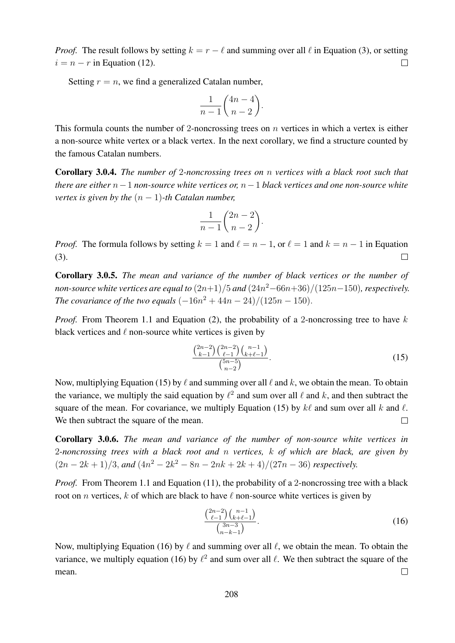*Proof.* The result follows by setting  $k = r - \ell$  and summing over all  $\ell$  in Equation (3), or setting  $i = n - r$  in Equation (12).  $\Box$ 

Setting  $r = n$ , we find a generalized Catalan number,

$$
\frac{1}{n-1}\binom{4n-4}{n-2}.
$$

This formula counts the number of 2-noncrossing trees on  $n$  vertices in which a vertex is either a non-source white vertex or a black vertex. In the next corollary, we find a structure counted by the famous Catalan numbers.

Corollary 3.0.4. *The number of* 2*-noncrossing trees on* n *vertices with a black root such that there are either* n−1 *non-source white vertices or,* n−1 *black vertices and one non-source white vertex is given by the*  $(n - 1)$ -th Catalan number,

$$
\frac{1}{n-1}\binom{2n-2}{n-2}.
$$

*Proof.* The formula follows by setting  $k = 1$  and  $\ell = n - 1$ , or  $\ell = 1$  and  $k = n - 1$  in Equation (3).  $\Box$ 

Corollary 3.0.5. *The mean and variance of the number of black vertices or the number of non-source white vertices are equal to* (2n+1)/5 *and* (24n <sup>2</sup>−66n+36)/(125n−150)*, respectively. The covariance of the two equals*  $(-16n^2 + 44n - 24)/(125n - 150)$ .

*Proof.* From Theorem 1.1 and Equation (2), the probability of a 2-noncrossing tree to have k black vertices and  $\ell$  non-source white vertices is given by

$$
\frac{\binom{2n-2}{k-1}\binom{2n-2}{\ell-1}\binom{n-1}{k+\ell-1}}{\binom{5n-5}{n-2}}.\tag{15}
$$

Now, multiplying Equation (15) by  $\ell$  and summing over all  $\ell$  and k, we obtain the mean. To obtain the variance, we multiply the said equation by  $\ell^2$  and sum over all  $\ell$  and  $k$ , and then subtract the square of the mean. For covariance, we multiply Equation (15) by  $k\ell$  and sum over all k and  $\ell$ . We then subtract the square of the mean.  $\Box$ 

Corollary 3.0.6. *The mean and variance of the number of non-source white vertices in* 2*-noncrossing trees with a black root and* n *vertices,* k *of which are black, are given by*  $(2n-2k+1)/3$ , and  $(4n^2-2k^2-8n-2nk+2k+4)/(27n-36)$  respectively.

*Proof.* From Theorem 1.1 and Equation (11), the probability of a 2-noncrossing tree with a black root on *n* vertices, k of which are black to have  $\ell$  non-source white vertices is given by

$$
\frac{\binom{2n-2}{\ell-1}\binom{n-1}{k+\ell-1}}{\binom{3n-3}{n-k-1}}.\tag{16}
$$

Now, multiplying Equation (16) by  $\ell$  and summing over all  $\ell$ , we obtain the mean. To obtain the variance, we multiply equation (16) by  $\ell^2$  and sum over all  $\ell$ . We then subtract the square of the mean.  $\Box$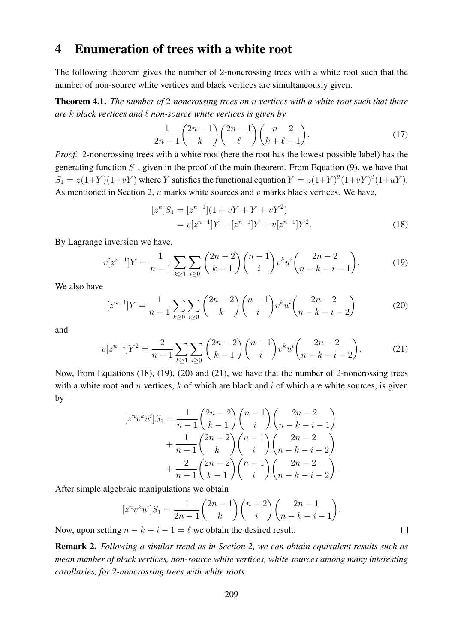### 4 Enumeration of trees with a white root

The following theorem gives the number of 2-noncrossing trees with a white root such that the number of non-source white vertices and black vertices are simultaneously given.

Theorem 4.1. *The number of* 2*-noncrossing trees on* n *vertices with a white root such that there are* k *black vertices and* ` *non-source white vertices is given by*

$$
\frac{1}{2n-1} \binom{2n-1}{k} \binom{2n-1}{\ell} \binom{n-2}{k+\ell-1}.
$$
\n(17)

*Proof.* 2-noncrossing trees with a white root (here the root has the lowest possible label) has the generating function  $S_1$ , given in the proof of the main theorem. From Equation (9), we have that  $S_1 = z(1+Y)(1+vY)$  where Y satisfies the functional equation  $Y = z(1+Y)^2(1+vY)^2(1+uY)$ . As mentioned in Section 2,  $u$  marks white sources and  $v$  marks black vertices. We have,

$$
[zn]S1 = [zn-1](1 + vY + Y + vY2)
$$
  
= v[z<sup>n-1</sup>]Y + [z<sup>n-1</sup>]Y + v[z<sup>n-1</sup>]Y<sup>2</sup>. (18)

By Lagrange inversion we have,

$$
v[z^{n-1}]Y = \frac{1}{n-1} \sum_{k \ge 1} \sum_{i \ge 0} {2n-2 \choose k-1} {n-1 \choose i} v^k u^i {2n-2 \choose n-k-i-1}.
$$
 (19)

We also have

$$
[z^{n-1}]Y = \frac{1}{n-1} \sum_{k \ge 0} \sum_{i \ge 0} {2n-2 \choose k} {n-1 \choose i} v^k u^i {2n-2 \choose n-k-i-2}
$$
 (20)

and

$$
v[z^{n-1}]Y^2 = \frac{2}{n-1} \sum_{k \ge 1} \sum_{i \ge 0} {2n-2 \choose k-1} {n-1 \choose i} v^k u^i {2n-2 \choose n-k-i-2}.
$$
 (21)

Now, from Equations (18), (19), (20) and (21), we have that the number of 2-noncrossing trees with a white root and  $n$  vertices,  $k$  of which are black and  $i$  of which are white sources, is given by

$$
[z^n v^k u^i] S_1 = \frac{1}{n-1} {2n-2 \choose k-1} {n-1 \choose i} {2n-2 \choose n-k-i-1} + \frac{1}{n-1} {2n-2 \choose k} {n-1 \choose i} {2n-2 \choose n-k-i-2} + \frac{2}{n-1} {2n-2 \choose k-1} {n-1 \choose i} {2n-2 \choose n-k-i-2}.
$$

After simple algebraic manipulations we obtain

$$
[z^n v^k u^i] S_1 = \frac{1}{2n-1} {2n-1 \choose k} {n-2 \choose i} {2n-1 \choose n-k-i-1}.
$$

 $\Box$ 

Now, upon setting  $n - k - i - 1 = \ell$  we obtain the desired result.

Remark 2. *Following a similar trend as in Section 2, we can obtain equivalent results such as mean number of black vertices, non-source white vertices, white sources among many interesting corollaries, for* 2*-noncrossing trees with white roots.*